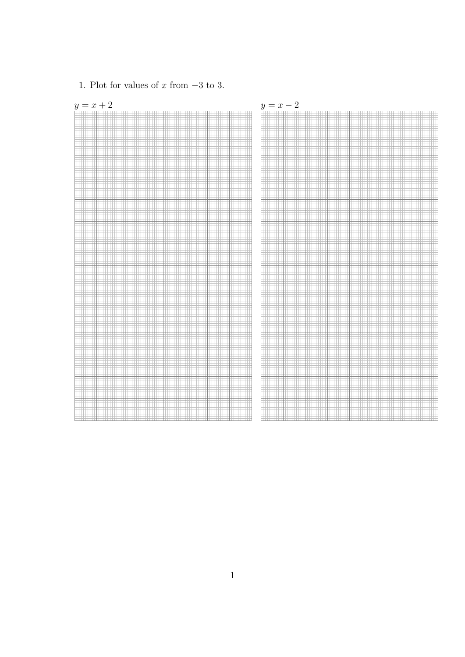

1. Plot for values of x from  $-3$  to 3.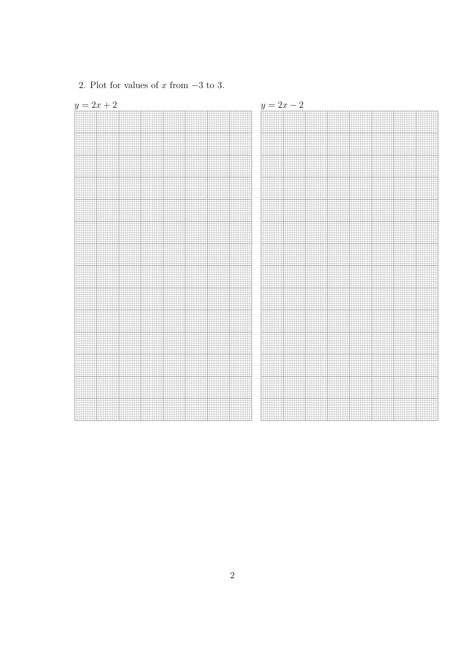

## 2. Plot for values of x from  $-3$  to 3.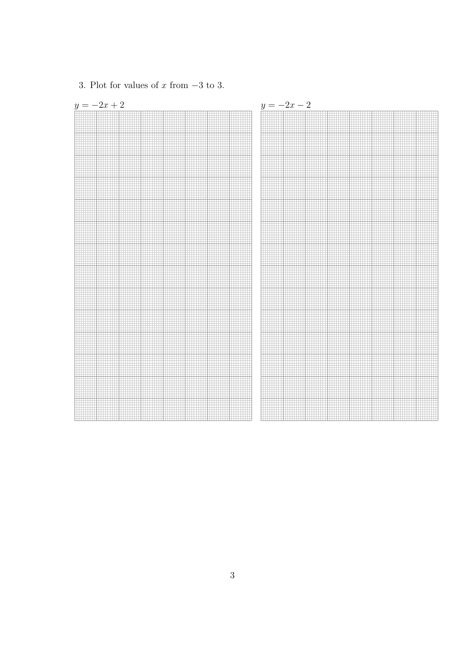

3. Plot for values of x from  $-3$  to 3.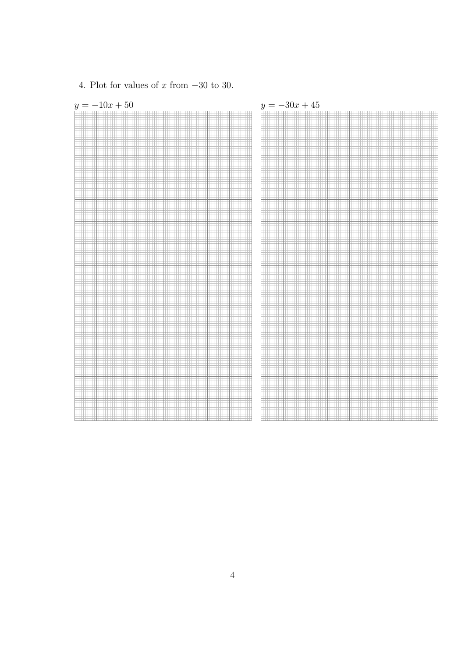

4. Plot for values of x from  $-30$  to 30.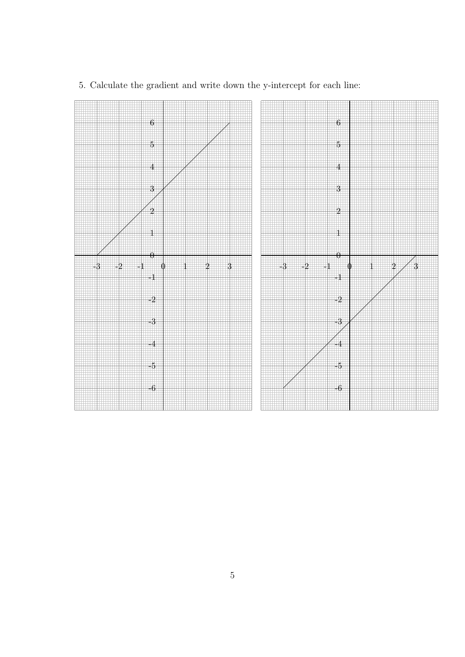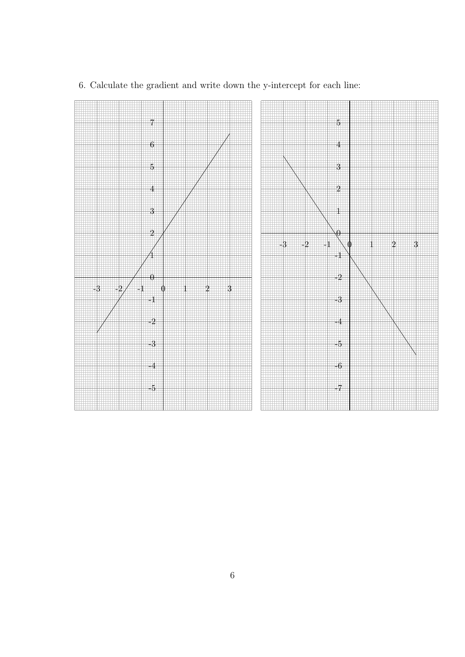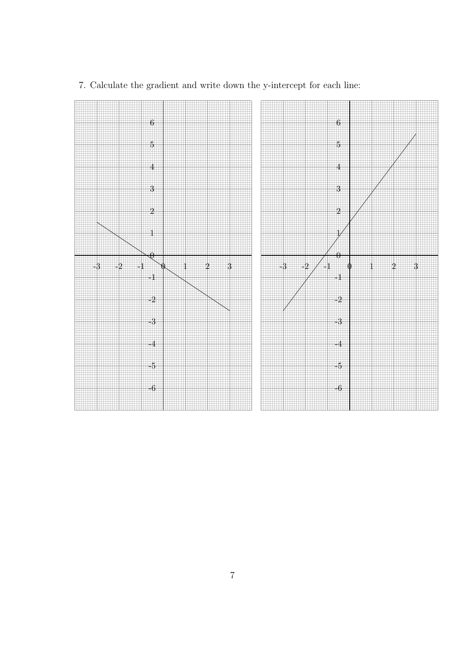